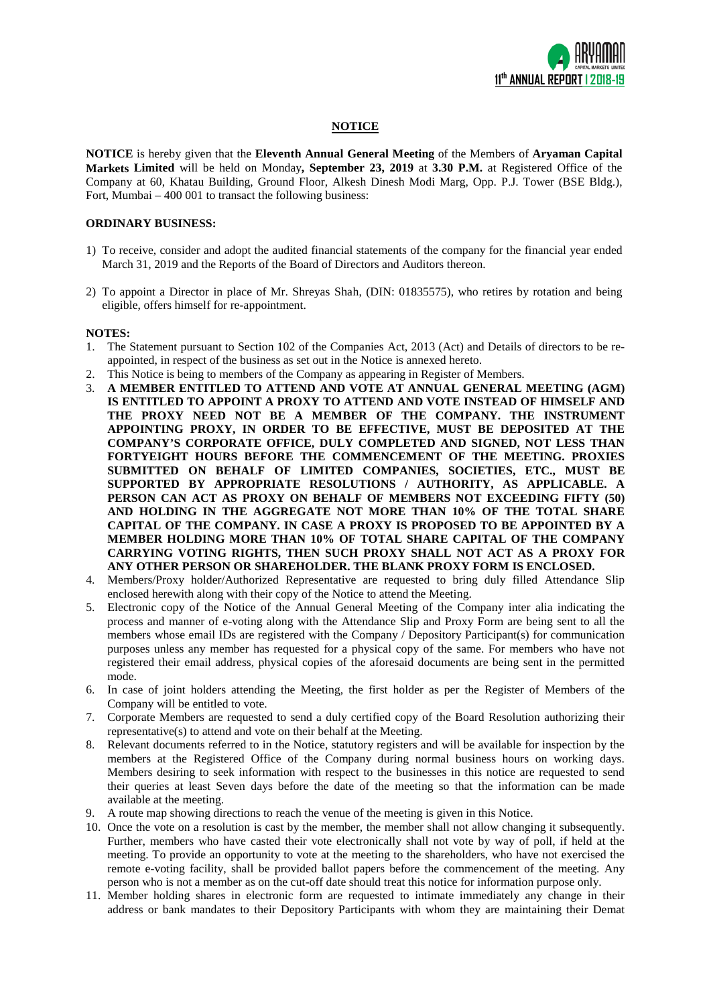

# **NOTICE**

**NOTICE** is hereby given that the **Eleventh Annual General Meeting** of the Members of **Aryaman Capital Markets Limited** will be held on Monday**, September 23, 2019** at **3.30 P.M.** at Registered Office of the Company at 60, Khatau Building, Ground Floor, Alkesh Dinesh Modi Marg, Opp. P.J. Tower (BSE Bldg.), Fort, Mumbai – 400 001 to transact the following business:

## **ORDINARY BUSINESS:**

- 1) To receive, consider and adopt the audited financial statements of the company for the financial year ended March 31, 2019 and the Reports of the Board of Directors and Auditors thereon.
- 2) To appoint a Director in place of Mr. Shreyas Shah, (DIN: 01835575), who retires by rotation and being eligible, offers himself for re-appointment.

#### **NOTES:**

- 1. The Statement pursuant to Section 102 of the Companies Act, 2013 (Act) and Details of directors to be reappointed, in respect of the business as set out in the Notice is annexed hereto.
- 2. This Notice is being to members of the Company as appearing in Register of Members.
- 3. **A MEMBER ENTITLED TO ATTEND AND VOTE AT ANNUAL GENERAL MEETING (AGM) IS ENTITLED TO APPOINT A PROXY TO ATTEND AND VOTE INSTEAD OF HIMSELF AND THE PROXY NEED NOT BE A MEMBER OF THE COMPANY. THE INSTRUMENT APPOINTING PROXY, IN ORDER TO BE EFFECTIVE, MUST BE DEPOSITED AT THE COMPANY'S CORPORATE OFFICE, DULY COMPLETED AND SIGNED, NOT LESS THAN FORTYEIGHT HOURS BEFORE THE COMMENCEMENT OF THE MEETING. PROXIES SUBMITTED ON BEHALF OF LIMITED COMPANIES, SOCIETIES, ETC., MUST BE SUPPORTED BY APPROPRIATE RESOLUTIONS / AUTHORITY, AS APPLICABLE. A PERSON CAN ACT AS PROXY ON BEHALF OF MEMBERS NOT EXCEEDING FIFTY (50) AND HOLDING IN THE AGGREGATE NOT MORE THAN 10% OF THE TOTAL SHARE CAPITAL OF THE COMPANY. IN CASE A PROXY IS PROPOSED TO BE APPOINTED BY A MEMBER HOLDING MORE THAN 10% OF TOTAL SHARE CAPITAL OF THE COMPANY CARRYING VOTING RIGHTS, THEN SUCH PROXY SHALL NOT ACT AS A PROXY FOR ANY OTHER PERSON OR SHAREHOLDER. THE BLANK PROXY FORM IS ENCLOSED.**
- 4. Members/Proxy holder/Authorized Representative are requested to bring duly filled Attendance Slip enclosed herewith along with their copy of the Notice to attend the Meeting.
- 5. Electronic copy of the Notice of the Annual General Meeting of the Company inter alia indicating the process and manner of e-voting along with the Attendance Slip and Proxy Form are being sent to all the members whose email IDs are registered with the Company / Depository Participant(s) for communication purposes unless any member has requested for a physical copy of the same. For members who have not registered their email address, physical copies of the aforesaid documents are being sent in the permitted mode.
- 6. In case of joint holders attending the Meeting, the first holder as per the Register of Members of the Company will be entitled to vote.
- 7. Corporate Members are requested to send a duly certified copy of the Board Resolution authorizing their representative(s) to attend and vote on their behalf at the Meeting.
- 8. Relevant documents referred to in the Notice, statutory registers and will be available for inspection by the members at the Registered Office of the Company during normal business hours on working days. Members desiring to seek information with respect to the businesses in this notice are requested to send their queries at least Seven days before the date of the meeting so that the information can be made available at the meeting.
- 9. A route map showing directions to reach the venue of the meeting is given in this Notice.
- 10. Once the vote on a resolution is cast by the member, the member shall not allow changing it subsequently. Further, members who have casted their vote electronically shall not vote by way of poll, if held at the meeting. To provide an opportunity to vote at the meeting to the shareholders, who have not exercised the remote e-voting facility, shall be provided ballot papers before the commencement of the meeting. Any person who is not a member as on the cut-off date should treat this notice for information purpose only.
- 11. Member holding shares in electronic form are requested to intimate immediately any change in their address or bank mandates to their Depository Participants with whom they are maintaining their Demat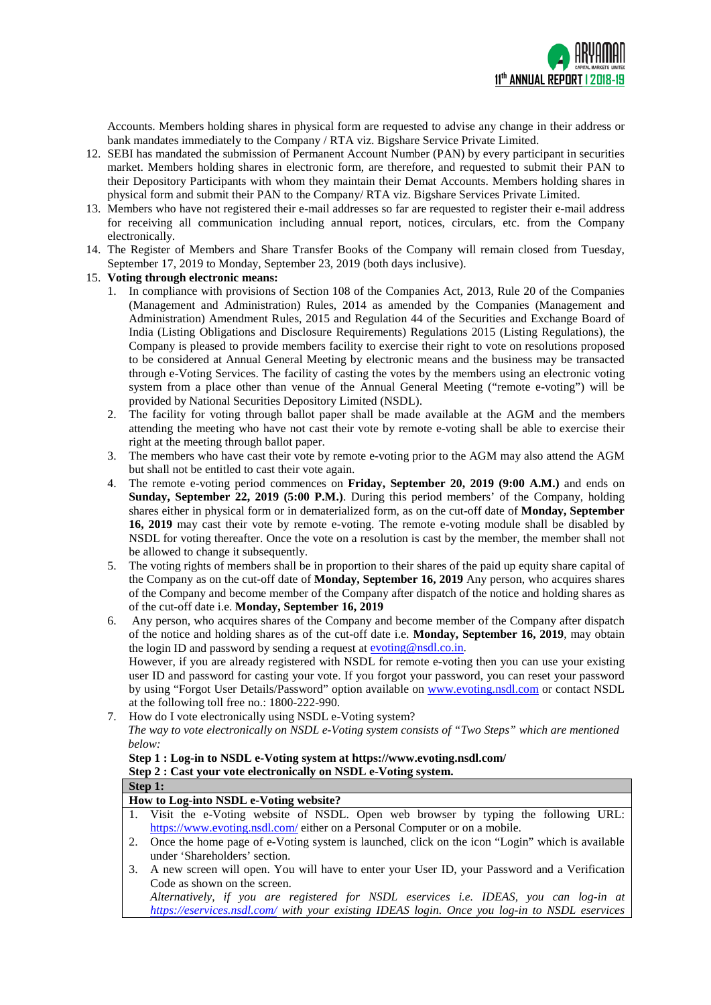

Accounts. Members holding shares in physical form are requested to advise any change in their address or bank mandates immediately to the Company / RTA viz. Bigshare Service Private Limited.

- 12. SEBI has mandated the submission of Permanent Account Number (PAN) by every participant in securities market. Members holding shares in electronic form, are therefore, and requested to submit their PAN to their Depository Participants with whom they maintain their Demat Accounts. Members holding shares in physical form and submit their PAN to the Company/ RTA viz. Bigshare Services Private Limited.
- 13. Members who have not registered their e-mail addresses so far are requested to register their e-mail address for receiving all communication including annual report, notices, circulars, etc. from the Company electronically.
- 14. The Register of Members and Share Transfer Books of the Company will remain closed from Tuesday, September 17, 2019 to Monday, September 23, 2019 (both days inclusive).

### 15. **Voting through electronic means:**

- 1. In compliance with provisions of Section 108 of the Companies Act, 2013, Rule 20 of the Companies (Management and Administration) Rules, 2014 as amended by the Companies (Management and Administration) Amendment Rules, 2015 and Regulation 44 of the Securities and Exchange Board of India (Listing Obligations and Disclosure Requirements) Regulations 2015 (Listing Regulations), the Company is pleased to provide members facility to exercise their right to vote on resolutions proposed to be considered at Annual General Meeting by electronic means and the business may be transacted through e-Voting Services. The facility of casting the votes by the members using an electronic voting system from a place other than venue of the Annual General Meeting ("remote e-voting") will be provided by National Securities Depository Limited (NSDL).
- 2. The facility for voting through ballot paper shall be made available at the AGM and the members attending the meeting who have not cast their vote by remote e-voting shall be able to exercise their right at the meeting through ballot paper.
- 3. The members who have cast their vote by remote e-voting prior to the AGM may also attend the AGM but shall not be entitled to cast their vote again.
- 4. The remote e-voting period commences on **Friday, September 20, 2019 (9:00 A.M.)** and ends on **Sunday, September 22, 2019 (5:00 P.M.)**. During this period members' of the Company, holding shares either in physical form or in dematerialized form, as on the cut-off date of **Monday, September 16, 2019** may cast their vote by remote e-voting. The remote e-voting module shall be disabled by NSDL for voting thereafter. Once the vote on a resolution is cast by the member, the member shall not be allowed to change it subsequently.
- 5. The voting rights of members shall be in proportion to their shares of the paid up equity share capital of the Company as on the cut-off date of **Monday, September 16, 2019** Any person, who acquires shares of the Company and become member of the Company after dispatch of the notice and holding shares as of the cut-off date i.e. **Monday, September 16, 2019**
- 6. Any person, who acquires shares of the Company and become member of the Company after dispatch of the notice and holding shares as of the cut-off date i.e. **Monday, September 16, 2019**, may obtain the login ID and password by sending a request at  $\frac{\text{evoting }@ \text{nsdl.co.in}}{\text{evoting }@ \text{nsdl.co.in}}$ . However, if you are already registered with NSDL for remote e-voting then you can use your existing user ID and password for casting your vote. If you forgot your password, you can reset your password by using "Forgot User Details/Password" option available on [www.evoting.nsdl.com](http://www.evoting.nsdl.com/) or contact NSDL
- at the following toll free no.: 1800-222-990. 7. How do I vote electronically using NSDL e-Voting system? *The way to vote electronically on NSDL e-Voting system consists of "Two Steps" which are mentioned below:*

# **Step 1 : Log-in to NSDL e-Voting system at<https://www.evoting.nsdl.com/> Step 2 : Cast your vote electronically on NSDL e-Voting system.**

| Step 1:                                                                                             |                                        |                                                                                                 |  |  |  |  |
|-----------------------------------------------------------------------------------------------------|----------------------------------------|-------------------------------------------------------------------------------------------------|--|--|--|--|
|                                                                                                     | How to Log-into NSDL e-Voting website? |                                                                                                 |  |  |  |  |
|                                                                                                     |                                        | 1. Visit the e-Voting website of NSDL. Open web browser by typing the following URL:            |  |  |  |  |
|                                                                                                     |                                        | https://www.evoting.nsdl.com/either on a Personal Computer or on a mobile.                      |  |  |  |  |
|                                                                                                     | 2.                                     | Once the home page of e-Voting system is launched, click on the icon "Login" which is available |  |  |  |  |
|                                                                                                     |                                        | under 'Shareholders' section.                                                                   |  |  |  |  |
| A new screen will open. You will have to enter your User ID, your Password and a Verification<br>3. |                                        |                                                                                                 |  |  |  |  |
|                                                                                                     |                                        | Code as shown on the screen.                                                                    |  |  |  |  |
|                                                                                                     |                                        | Alternatively, if you are registered for NSDL eservices i.e. IDEAS, you can log-in at           |  |  |  |  |
|                                                                                                     |                                        | https://eservices.nsdl.com/ with your existing IDEAS login. Once you log-in to NSDL eservices   |  |  |  |  |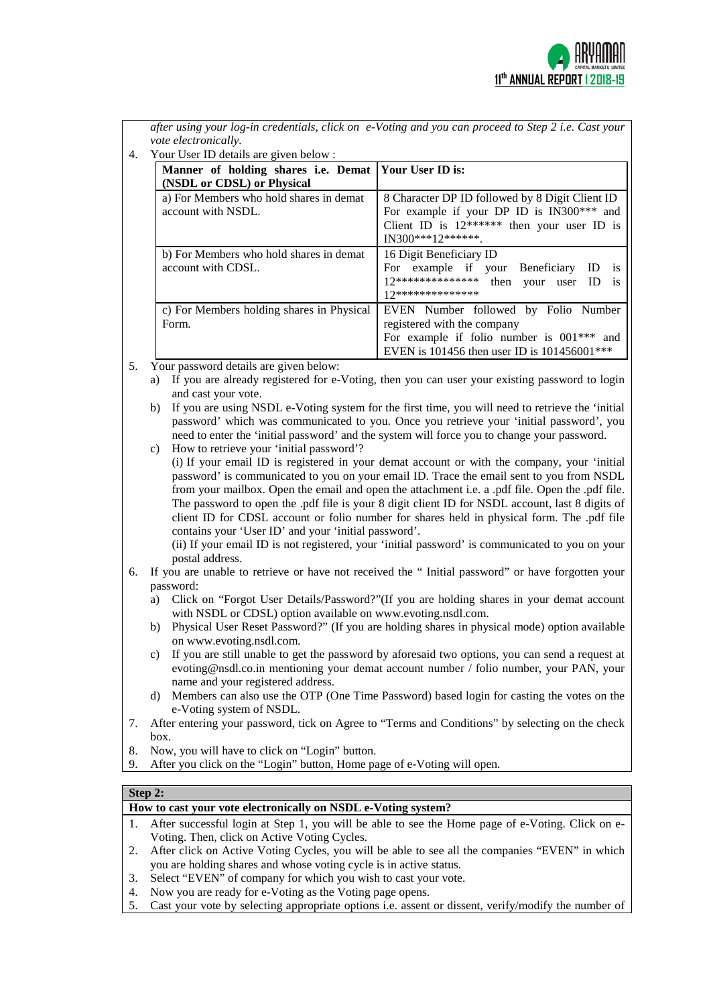

*after using your log-in credentials, click on e-Voting and you can proceed to Step 2 i.e. Cast your vote electronically.*

4. Your User ID details are given below :

| Manner of holding shares i.e. Demat   Your User ID is:        |                                                                                                                                                                   |
|---------------------------------------------------------------|-------------------------------------------------------------------------------------------------------------------------------------------------------------------|
| (NSDL or CDSL) or Physical                                    |                                                                                                                                                                   |
| a) For Members who hold shares in demat<br>account with NSDL. | 8 Character DP ID followed by 8 Digit Client ID<br>For example if your DP ID is IN300*** and<br>Client ID is $12*****$ then your user ID is<br>$IN300***12******$ |
| b) For Members who hold shares in demat<br>account with CDSL. | 16 Digit Beneficiary ID<br>For example if your Beneficiary ID<br><b>1S</b><br>12************** then your user ID<br><i>is</i><br>17**************                 |
| c) For Members holding shares in Physical<br>Form.            | EVEN Number followed by Folio Number<br>registered with the company<br>For example if folio number is $001***$ and<br>EVEN is 101456 then user ID is 101456001*** |

- 5. Your password details are given below:
	- a) If you are already registered for e-Voting, then you can user your existing password to login and cast your vote.
	- b) If you are using NSDL e-Voting system for the first time, you will need to retrieve the 'initial password' which was communicated to you. Once you retrieve your 'initial password', you need to enter the 'initial password' and the system will force you to change your password.
	- c) How to retrieve your 'initial password'?

(i) If your email ID is registered in your demat account or with the company, your 'initial password' is communicated to you on your email ID. Trace the email sent to you from NSDL from your mailbox. Open the email and open the attachment i.e. a .pdf file. Open the .pdf file. The password to open the .pdf file is your 8 digit client ID for NSDL account, last 8 digits of client ID for CDSL account or folio number for shares held in physical form. The .pdf file contains your 'User ID' and your 'initial password'.

(ii) If your email ID is not registered, your 'initial password' is communicated to you on your postal address.

- 6. If you are unable to retrieve or have not received the " Initial password" or have forgotten your password:
	- a) Click on ["Forgot User Details/Password?"](https://www.evoting.nsdl.com/eVotingWeb/commonhtmls/NewUser.jsp)(If you are holding shares in your demat account with NSDL or CDSL) option available on www.evoting.nsdl.com.
	- b) [Physical User Reset Password?"](https://www.evoting.nsdl.com/eVotingWeb/commonhtmls/PhysicalUser.jsp) (If you are holding shares in physical mode) option available o[n www.evoting.nsdl.com.](http://www.evoting.nsdl.com/)
	- c) If you are still unable to get the password by aforesaid two options, you can send a request at [evoting@nsdl.co.in](mailto:evoting@nsdl.co.in) mentioning your demat account number / folio number, your PAN, your name and your registered address.
	- d) Members can also use the OTP (One Time Password) based login for casting the votes on the e-Voting system of NSDL.
- 7. After entering your password, tick on Agree to "Terms and Conditions" by selecting on the check box.
- 8. Now, you will have to click on "Login" button.
- After you click on the "Login" button, Home page of e-Voting will open.

### **How to cast your vote electronically on NSDL e-Voting system?**

- 1. After successful login at Step 1, you will be able to see the Home page of e-Voting. Click on e-Voting. Then, click on Active Voting Cycles.
- 2. After click on Active Voting Cycles, you will be able to see all the companies "EVEN" in which you are holding shares and whose voting cycle is in active status.
- 3. Select "EVEN" of company for which you wish to cast your vote.
- 4. Now you are ready for e-Voting as the Voting page opens.
- 5. Cast your vote by selecting appropriate options i.e. assent or dissent, verify/modify the number of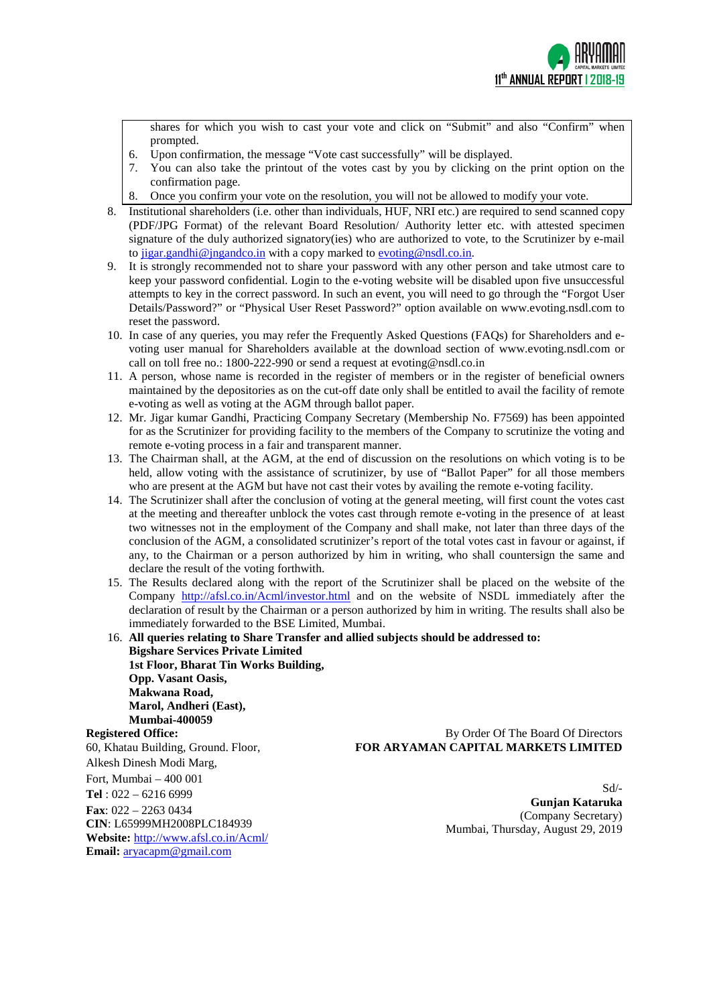

 $Sd$ <sup>-</sup>

shares for which you wish to cast your vote and click on "Submit" and also "Confirm" when prompted.

- 6. Upon confirmation, the message "Vote cast successfully" will be displayed.
- 7. You can also take the printout of the votes cast by you by clicking on the print option on the confirmation page.
- 8. Once you confirm your vote on the resolution, you will not be allowed to modify your vote.
- 8. Institutional shareholders (i.e. other than individuals, HUF, NRI etc.) are required to send scanned copy (PDF/JPG Format) of the relevant Board Resolution/ Authority letter etc. with attested specimen signature of the duly authorized signatory(ies) who are authorized to vote, to the Scrutinizer by e-mail to [jigar.gandhi@jngandco.in](mailto:jigar.gandhi@jngandco.in) with a copy marked to  $\frac{evoting@nsdl.co.in.}{evoting@nsdl.co.in.}$
- 9. It is strongly recommended not to share your password with any other person and take utmost care to keep your password confidential. Login to the e-voting website will be disabled upon five unsuccessful attempts to key in the correct password. In such an event, you will need to go through the ["Forgot User](https://www.evoting.nsdl.com/eVotingWeb/commonhtmls/NewUser.jsp)  [Details/Password?"](https://www.evoting.nsdl.com/eVotingWeb/commonhtmls/NewUser.jsp) or ["Physical User Reset Password?"](https://www.evoting.nsdl.com/eVotingWeb/commonhtmls/PhysicalUser.jsp) option available on www.evoting.nsdl.com to reset the password.
- 10. In case of any queries, you may refer the Frequently Asked Questions (FAQs) for Shareholders and evoting user manual for Shareholders available at the download section of [www.evoting.nsdl.com](http://www.evoting.nsdl.com/) or call on toll free no.: 1800-222-990 or send a request at [evoting@nsdl.co.in](mailto:evoting@nsdl.co.in)
- 11. A person, whose name is recorded in the register of members or in the register of beneficial owners maintained by the depositories as on the cut-off date only shall be entitled to avail the facility of remote e-voting as well as voting at the AGM through ballot paper.
- 12. Mr. Jigar kumar Gandhi, Practicing Company Secretary (Membership No. F7569) has been appointed for as the Scrutinizer for providing facility to the members of the Company to scrutinize the voting and remote e-voting process in a fair and transparent manner.
- 13. The Chairman shall, at the AGM, at the end of discussion on the resolutions on which voting is to be held, allow voting with the assistance of scrutinizer, by use of "Ballot Paper" for all those members who are present at the AGM but have not cast their votes by availing the remote e-voting facility.
- 14. The Scrutinizer shall after the conclusion of voting at the general meeting, will first count the votes cast at the meeting and thereafter unblock the votes cast through remote e-voting in the presence of at least two witnesses not in the employment of the Company and shall make, not later than three days of the conclusion of the AGM, a consolidated scrutinizer's report of the total votes cast in favour or against, if any, to the Chairman or a person authorized by him in writing, who shall countersign the same and declare the result of the voting forthwith.
- 15. The Results declared along with the report of the Scrutinizer shall be placed on the website of the Company <http://afsl.co.in/Acml/investor.html> and on the website of NSDL immediately after the declaration of result by the Chairman or a person authorized by him in writing. The results shall also be immediately forwarded to the BSE Limited, Mumbai.

16. **All queries relating to Share Transfer and allied subjects should be addressed to: Bigshare Services Private Limited 1st Floor, Bharat Tin Works Building, Opp. Vasant Oasis, Makwana Road, Marol, Andheri (East), Mumbai-400059 Registered Office:** 60, Khatau Building, Ground. Floor, Alkesh Dinesh Modi Marg, Fort, Mumbai – 400 001 **Tel** : 022 – 6216 6999 **Fax**: 022 – 2263 0434 **CIN**: L65999MH2008PLC184939 **Website:** <http://www.afsl.co.in/Acml/> By Order Of The Board Of Directors **FOR ARYAMAN CAPITAL MARKETS LIMITED Gunjan Kataruka** (Company Secretary) Mumbai, Thursday, August 29, 2019

**Email:** [aryacapm@gmail.com](mailto:aryacapm@gmail.com)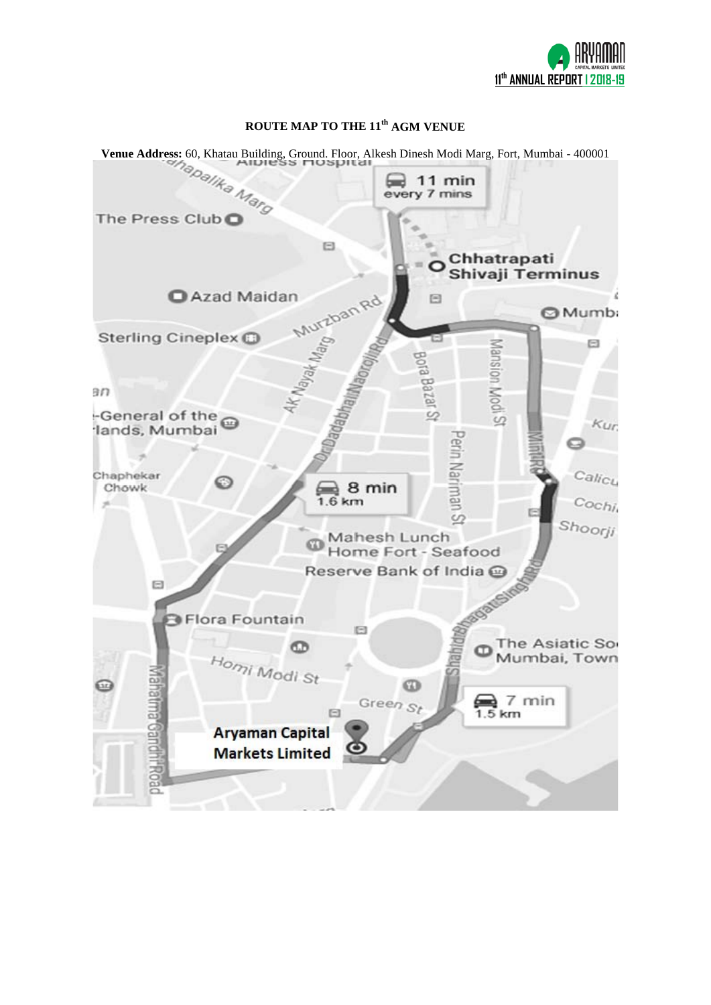

# **ROUTE MAP TO THE 11th AGM VENUE**